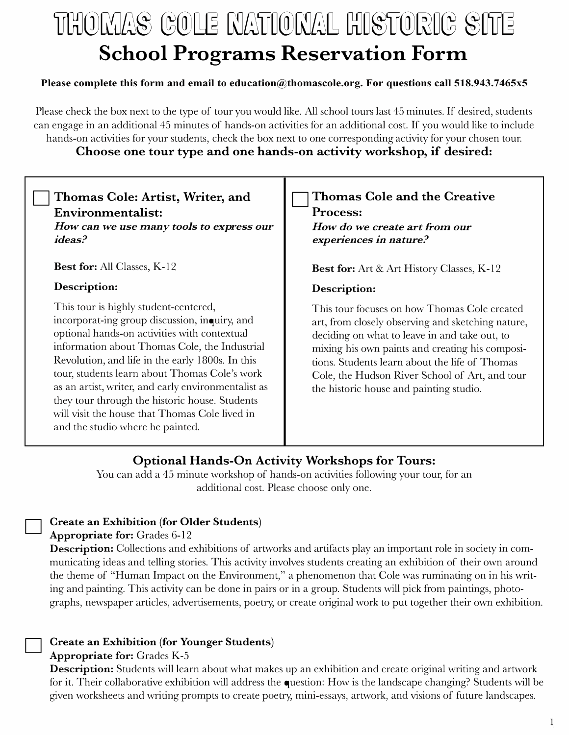# THOMAS GOLE MATIONAL HISTORIC SITE **School Programs Reservation Form**

### **Please complete this form and email to education@thomascole.org. For questions call 518.943.7465x5**

Please check the box next to the type of tour you would like. All school tours last 45 minutes. If desired, students can engage in an additional 45 minutes of hands-on activities for an additional cost. If you would like to include hands-on activities for your students, check the box next to one corresponding activity for your chosen tour.

### **Choose one tour type and one hands-on activity workshop, if desired:**

| Thomas Cole: Artist, Writer, and<br>Environmentalist:<br>How can we use many tools to express our<br>ideas?                                                                                                                                                                                                                                                                                                                                                                                                 | <b>Thomas Cole and the Creative</b><br><b>Process:</b><br>How do we create art from our<br>experiences in nature.                                                                                                                                                                                                                                                    |
|-------------------------------------------------------------------------------------------------------------------------------------------------------------------------------------------------------------------------------------------------------------------------------------------------------------------------------------------------------------------------------------------------------------------------------------------------------------------------------------------------------------|----------------------------------------------------------------------------------------------------------------------------------------------------------------------------------------------------------------------------------------------------------------------------------------------------------------------------------------------------------------------|
| <b>Best for:</b> All Classes, K-12                                                                                                                                                                                                                                                                                                                                                                                                                                                                          | <b>Best for:</b> Art & Art History Classes, K-12                                                                                                                                                                                                                                                                                                                     |
| Description:<br>This tour is highly student-centered,<br>incorporat-ing group discussion, inquiry, and<br>optional hands-on activities with contextual<br>information about Thomas Cole, the Industrial<br>Revolution, and life in the early 1800s. In this<br>tour, students learn about Thomas Cole's work<br>as an artist, writer, and early environmentalist as<br>they tour through the historic house. Students<br>will visit the house that Thomas Cole lived in<br>and the studio where he painted. | Description:<br>This tour focuses on how Thomas Cole created<br>art, from closely observing and sketching nature,<br>deciding on what to leave in and take out, to<br>mixing his own paints and creating his composi-<br>tions. Students learn about the life of Thomas<br>Cole, the Hudson River School of Art, and tour<br>the historic house and painting studio. |

## **Optional Hands-On Activity Workshops for Tours:**

You can add a 45 minute workshop of hands-on activities following your tour, for an additional cost. Please choose only one.

# □ Create an Exhibition (for Older Students)

### Appropriate for: Grades 6-12

Description: Collections and exhibitions of artworks and artifacts play an important role in society in communicating ideas and telling stories. This activity involves students creating an exhibition of their own around the theme of "Human Impact on the Environment," a phenomenon that Cole was ruminating on in his writing and painting. This activity can be done in pairs or in a group. Students will pick from paintings, photographs, newspaper articles, advertisements, poetry, or create original work to put together their own exhibition.

# □ Create an Exhibition (for Younger Students)

### Appropriate for: Grades K-5

**Description:** Students will learn about what makes up an exhibition and create original writing and artwork for it. Their collaborative exhibition will address the question: How is the landscape changing? Students will be given worksheets and writing prompts to create poetry, mini-essays, artwork, and visions of future landscapes.